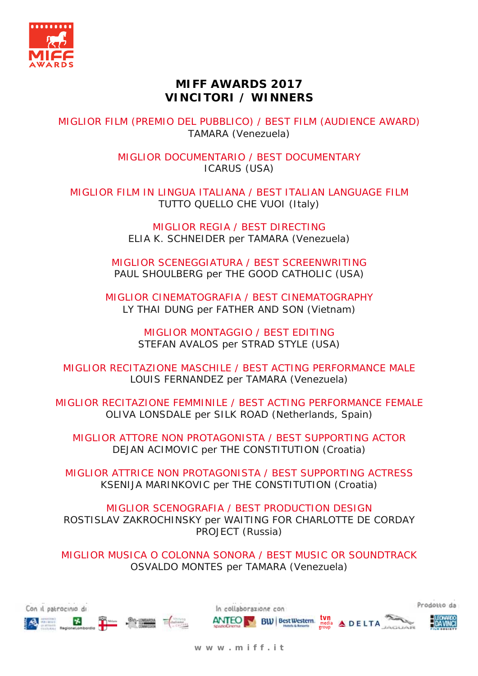

## **MIFF AWARDS 2017 VINCITORI / WINNERS**

MIGLIOR FILM (PREMIO DEL PUBBLICO) / BEST FILM (AUDIENCE AWARD) TAMARA (Venezuela)

> MIGLIOR DOCUMENTARIO / BEST DOCUMENTARY ICARUS (USA)

MIGLIOR FILM IN LINGUA ITALIANA / BEST ITALIAN LANGUAGE FILM TUTTO QUELLO CHE VUOI (Italy)

> MIGLIOR REGIA / BEST DIRECTING ELIA K. SCHNEIDER per TAMARA (Venezuela)

MIGLIOR SCENEGGIATURA / BEST SCREENWRITING PAUL SHOULBERG per THE GOOD CATHOLIC (USA)

MIGLIOR CINEMATOGRAFIA / BEST CINEMATOGRAPHY LY THAI DUNG per FATHER AND SON (Vietnam)

> MIGLIOR MONTAGGIO / BEST EDITING STEFAN AVALOS per STRAD STYLE (USA)

MIGLIOR RECITAZIONE MASCHILE / BEST ACTING PERFORMANCE MALE LOUIS FERNANDEZ per TAMARA (Venezuela)

MIGLIOR RECITAZIONE FEMMINILE / BEST ACTING PERFORMANCE FEMALE OLIVA LONSDALE per SILK ROAD (Netherlands, Spain)

MIGLIOR ATTORE NON PROTAGONISTA / BEST SUPPORTING ACTOR DEJAN ACIMOVIC per THE CONSTITUTION (Croatia)

MIGLIOR ATTRICE NON PROTAGONISTA / BEST SUPPORTING ACTRESS KSENIJA MARINKOVIC per THE CONSTITUTION (Croatia)

MIGLIOR SCENOGRAFIA / BEST PRODUCTION DESIGN ROSTISLAV ZAKROCHINSKY per WAITING FOR CHARLOTTE DE CORDAY PROJECT (Russia)

MIGLIOR MUSICA O COLONNA SONORA / BEST MUSIC OR SOUNDTRACK OSVALDO MONTES per TAMARA (Venezuela)



**w w w . m i f f . i t**